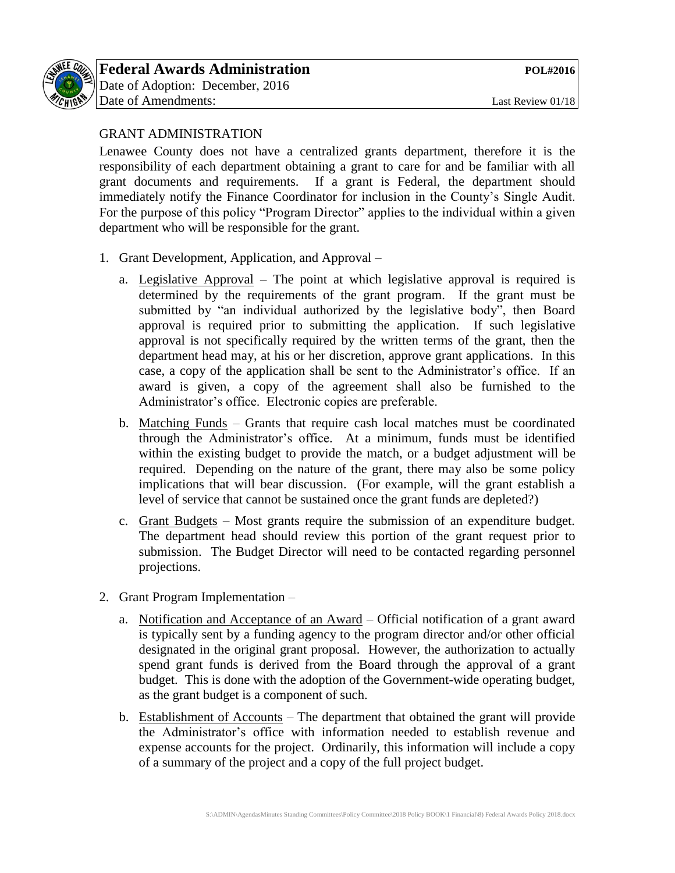

# GRANT ADMINISTRATION

Lenawee County does not have a centralized grants department, therefore it is the responsibility of each department obtaining a grant to care for and be familiar with all grant documents and requirements. If a grant is Federal, the department should immediately notify the Finance Coordinator for inclusion in the County's Single Audit. For the purpose of this policy "Program Director" applies to the individual within a given department who will be responsible for the grant.

- 1. Grant Development, Application, and Approval
	- a. Legislative Approval The point at which legislative approval is required is determined by the requirements of the grant program. If the grant must be submitted by "an individual authorized by the legislative body", then Board approval is required prior to submitting the application. If such legislative approval is not specifically required by the written terms of the grant, then the department head may, at his or her discretion, approve grant applications. In this case, a copy of the application shall be sent to the Administrator's office. If an award is given, a copy of the agreement shall also be furnished to the Administrator's office. Electronic copies are preferable.
	- b. Matching Funds Grants that require cash local matches must be coordinated through the Administrator's office. At a minimum, funds must be identified within the existing budget to provide the match, or a budget adjustment will be required. Depending on the nature of the grant, there may also be some policy implications that will bear discussion. (For example, will the grant establish a level of service that cannot be sustained once the grant funds are depleted?)
	- c. Grant Budgets Most grants require the submission of an expenditure budget. The department head should review this portion of the grant request prior to submission. The Budget Director will need to be contacted regarding personnel projections.
- 2. Grant Program Implementation
	- a. Notification and Acceptance of an Award Official notification of a grant award is typically sent by a funding agency to the program director and/or other official designated in the original grant proposal. However, the authorization to actually spend grant funds is derived from the Board through the approval of a grant budget. This is done with the adoption of the Government-wide operating budget, as the grant budget is a component of such.
	- b. Establishment of Accounts The department that obtained the grant will provide the Administrator's office with information needed to establish revenue and expense accounts for the project. Ordinarily, this information will include a copy of a summary of the project and a copy of the full project budget.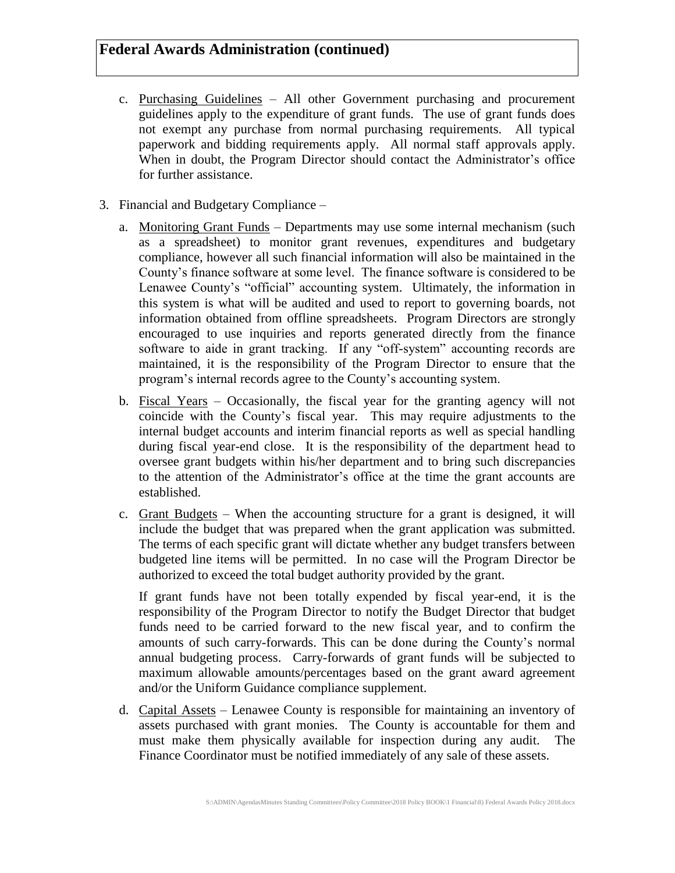- c. Purchasing Guidelines All other Government purchasing and procurement guidelines apply to the expenditure of grant funds. The use of grant funds does not exempt any purchase from normal purchasing requirements. All typical paperwork and bidding requirements apply. All normal staff approvals apply. When in doubt, the Program Director should contact the Administrator's office for further assistance.
- 3. Financial and Budgetary Compliance
	- a. Monitoring Grant Funds Departments may use some internal mechanism (such as a spreadsheet) to monitor grant revenues, expenditures and budgetary compliance, however all such financial information will also be maintained in the County's finance software at some level. The finance software is considered to be Lenawee County's "official" accounting system. Ultimately, the information in this system is what will be audited and used to report to governing boards, not information obtained from offline spreadsheets. Program Directors are strongly encouraged to use inquiries and reports generated directly from the finance software to aide in grant tracking. If any "off-system" accounting records are maintained, it is the responsibility of the Program Director to ensure that the program's internal records agree to the County's accounting system.
	- b. Fiscal Years Occasionally, the fiscal year for the granting agency will not coincide with the County's fiscal year. This may require adjustments to the internal budget accounts and interim financial reports as well as special handling during fiscal year-end close. It is the responsibility of the department head to oversee grant budgets within his/her department and to bring such discrepancies to the attention of the Administrator's office at the time the grant accounts are established.
	- c. Grant Budgets When the accounting structure for a grant is designed, it will include the budget that was prepared when the grant application was submitted. The terms of each specific grant will dictate whether any budget transfers between budgeted line items will be permitted. In no case will the Program Director be authorized to exceed the total budget authority provided by the grant.

If grant funds have not been totally expended by fiscal year-end, it is the responsibility of the Program Director to notify the Budget Director that budget funds need to be carried forward to the new fiscal year, and to confirm the amounts of such carry-forwards. This can be done during the County's normal annual budgeting process. Carry-forwards of grant funds will be subjected to maximum allowable amounts/percentages based on the grant award agreement and/or the Uniform Guidance compliance supplement.

d. Capital Assets – Lenawee County is responsible for maintaining an inventory of assets purchased with grant monies. The County is accountable for them and must make them physically available for inspection during any audit. The Finance Coordinator must be notified immediately of any sale of these assets.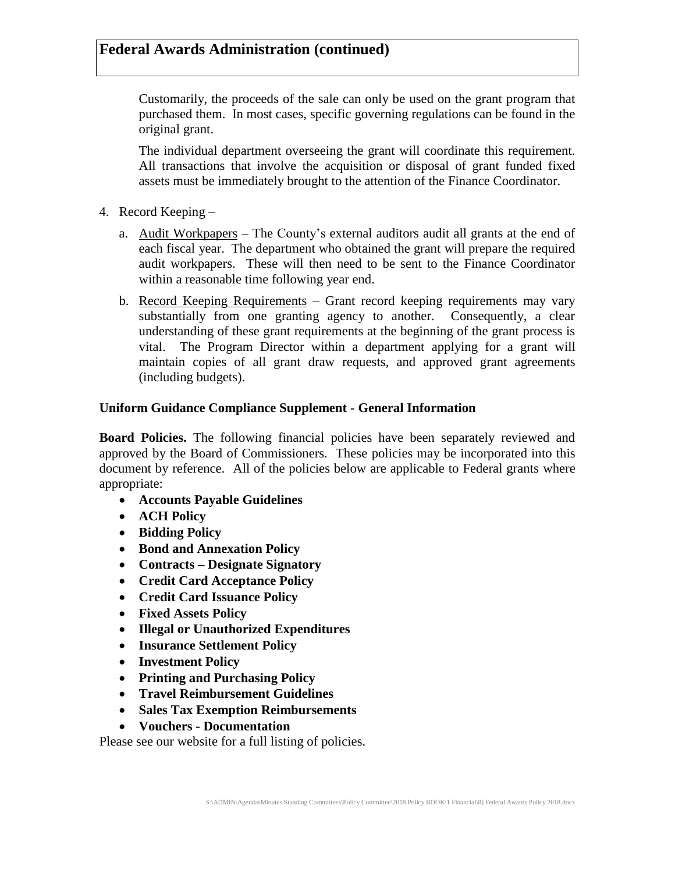Customarily, the proceeds of the sale can only be used on the grant program that purchased them. In most cases, specific governing regulations can be found in the original grant.

The individual department overseeing the grant will coordinate this requirement. All transactions that involve the acquisition or disposal of grant funded fixed assets must be immediately brought to the attention of the Finance Coordinator.

- 4. Record Keeping
	- a. Audit Workpapers The County's external auditors audit all grants at the end of each fiscal year. The department who obtained the grant will prepare the required audit workpapers. These will then need to be sent to the Finance Coordinator within a reasonable time following year end.
	- b. Record Keeping Requirements Grant record keeping requirements may vary substantially from one granting agency to another. Consequently, a clear understanding of these grant requirements at the beginning of the grant process is vital. The Program Director within a department applying for a grant will maintain copies of all grant draw requests, and approved grant agreements (including budgets).

#### **Uniform Guidance Compliance Supplement - General Information**

**Board Policies.** The following financial policies have been separately reviewed and approved by the Board of Commissioners. These policies may be incorporated into this document by reference. All of the policies below are applicable to Federal grants where appropriate:

- **Accounts Payable Guidelines**
- **ACH Policy**
- **Bidding Policy**
- **Bond and Annexation Policy**
- **Contracts – Designate Signatory**
- **Credit Card Acceptance Policy**
- **Credit Card Issuance Policy**
- **Fixed Assets Policy**
- **Illegal or Unauthorized Expenditures**
- **Insurance Settlement Policy**
- **Investment Policy**
- **Printing and Purchasing Policy**
- **Travel Reimbursement Guidelines**
- **Sales Tax Exemption Reimbursements**
- **Vouchers - Documentation**

Please see our website for a full listing of policies.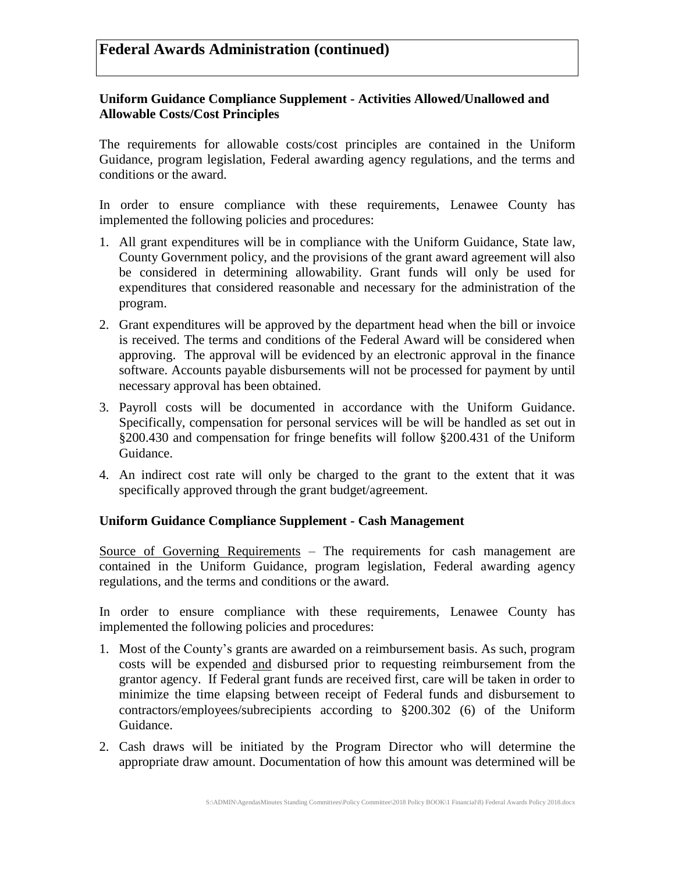### **Uniform Guidance Compliance Supplement - Activities Allowed/Unallowed and Allowable Costs/Cost Principles**

The requirements for allowable costs/cost principles are contained in the Uniform Guidance, program legislation, Federal awarding agency regulations, and the terms and conditions or the award.

In order to ensure compliance with these requirements, Lenawee County has implemented the following policies and procedures:

- 1. All grant expenditures will be in compliance with the Uniform Guidance, State law, County Government policy, and the provisions of the grant award agreement will also be considered in determining allowability. Grant funds will only be used for expenditures that considered reasonable and necessary for the administration of the program.
- 2. Grant expenditures will be approved by the department head when the bill or invoice is received. The terms and conditions of the Federal Award will be considered when approving. The approval will be evidenced by an electronic approval in the finance software. Accounts payable disbursements will not be processed for payment by until necessary approval has been obtained.
- 3. Payroll costs will be documented in accordance with the Uniform Guidance. Specifically, compensation for personal services will be will be handled as set out in §200.430 and compensation for fringe benefits will follow §200.431 of the Uniform Guidance.
- 4. An indirect cost rate will only be charged to the grant to the extent that it was specifically approved through the grant budget/agreement.

## **Uniform Guidance Compliance Supplement - Cash Management**

Source of Governing Requirements – The requirements for cash management are contained in the Uniform Guidance, program legislation, Federal awarding agency regulations, and the terms and conditions or the award.

In order to ensure compliance with these requirements, Lenawee County has implemented the following policies and procedures:

- 1. Most of the County's grants are awarded on a reimbursement basis. As such, program costs will be expended and disbursed prior to requesting reimbursement from the grantor agency. If Federal grant funds are received first, care will be taken in order to minimize the time elapsing between receipt of Federal funds and disbursement to contractors/employees/subrecipients according to §200.302 (6) of the Uniform Guidance.
- 2. Cash draws will be initiated by the Program Director who will determine the appropriate draw amount. Documentation of how this amount was determined will be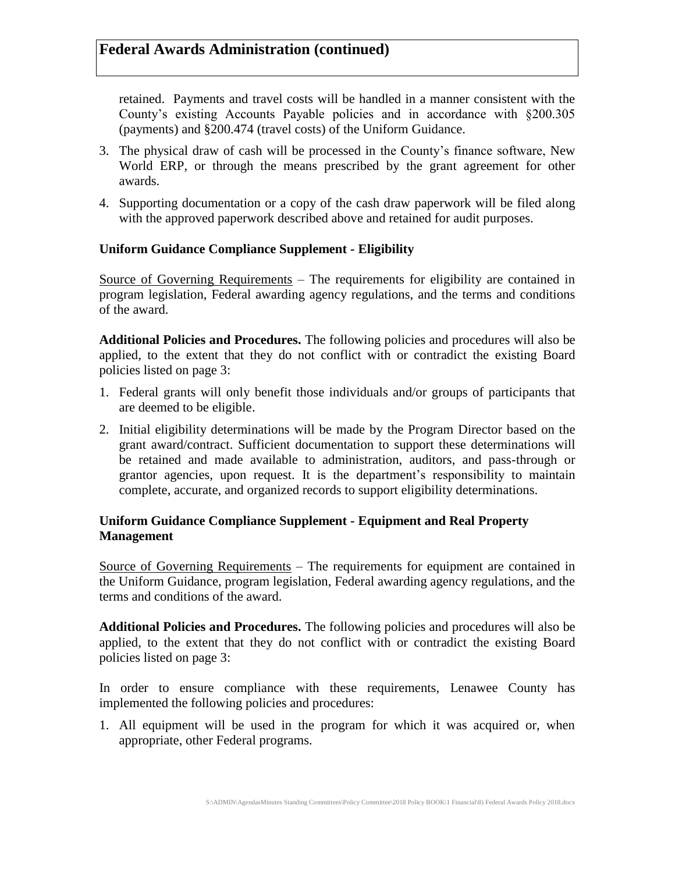retained. Payments and travel costs will be handled in a manner consistent with the County's existing Accounts Payable policies and in accordance with §200.305 (payments) and §200.474 (travel costs) of the Uniform Guidance.

- 3. The physical draw of cash will be processed in the County's finance software, New World ERP, or through the means prescribed by the grant agreement for other awards.
- 4. Supporting documentation or a copy of the cash draw paperwork will be filed along with the approved paperwork described above and retained for audit purposes.

#### **Uniform Guidance Compliance Supplement - Eligibility**

Source of Governing Requirements – The requirements for eligibility are contained in program legislation, Federal awarding agency regulations, and the terms and conditions of the award.

**Additional Policies and Procedures.** The following policies and procedures will also be applied, to the extent that they do not conflict with or contradict the existing Board policies listed on page 3:

- 1. Federal grants will only benefit those individuals and/or groups of participants that are deemed to be eligible.
- 2. Initial eligibility determinations will be made by the Program Director based on the grant award/contract. Sufficient documentation to support these determinations will be retained and made available to administration, auditors, and pass-through or grantor agencies, upon request. It is the department's responsibility to maintain complete, accurate, and organized records to support eligibility determinations.

### **Uniform Guidance Compliance Supplement - Equipment and Real Property Management**

Source of Governing Requirements – The requirements for equipment are contained in the Uniform Guidance, program legislation, Federal awarding agency regulations, and the terms and conditions of the award.

**Additional Policies and Procedures.** The following policies and procedures will also be applied, to the extent that they do not conflict with or contradict the existing Board policies listed on page 3:

In order to ensure compliance with these requirements, Lenawee County has implemented the following policies and procedures:

1. All equipment will be used in the program for which it was acquired or, when appropriate, other Federal programs.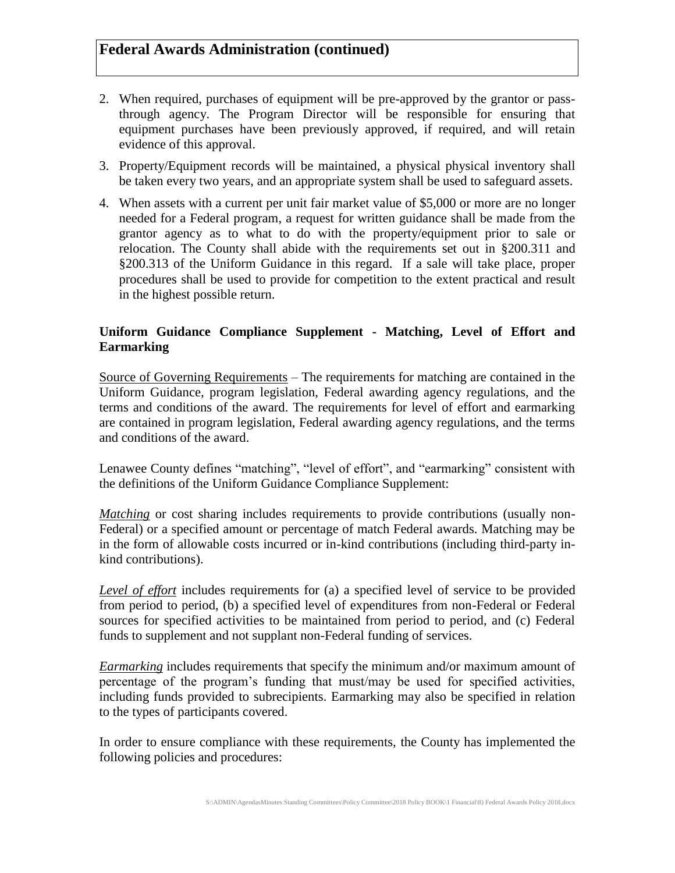- 2. When required, purchases of equipment will be pre-approved by the grantor or passthrough agency. The Program Director will be responsible for ensuring that equipment purchases have been previously approved, if required, and will retain evidence of this approval.
- 3. Property/Equipment records will be maintained, a physical physical inventory shall be taken every two years, and an appropriate system shall be used to safeguard assets.
- 4. When assets with a current per unit fair market value of \$5,000 or more are no longer needed for a Federal program, a request for written guidance shall be made from the grantor agency as to what to do with the property/equipment prior to sale or relocation. The County shall abide with the requirements set out in §200.311 and §200.313 of the Uniform Guidance in this regard. If a sale will take place, proper procedures shall be used to provide for competition to the extent practical and result in the highest possible return.

## **Uniform Guidance Compliance Supplement - Matching, Level of Effort and Earmarking**

Source of Governing Requirements – The requirements for matching are contained in the Uniform Guidance, program legislation, Federal awarding agency regulations, and the terms and conditions of the award. The requirements for level of effort and earmarking are contained in program legislation, Federal awarding agency regulations, and the terms and conditions of the award.

Lenawee County defines "matching", "level of effort", and "earmarking" consistent with the definitions of the Uniform Guidance Compliance Supplement:

*Matching* or cost sharing includes requirements to provide contributions (usually non-Federal) or a specified amount or percentage of match Federal awards. Matching may be in the form of allowable costs incurred or in-kind contributions (including third-party inkind contributions).

*Level of effort* includes requirements for (a) a specified level of service to be provided from period to period, (b) a specified level of expenditures from non-Federal or Federal sources for specified activities to be maintained from period to period, and (c) Federal funds to supplement and not supplant non-Federal funding of services.

*Earmarking* includes requirements that specify the minimum and/or maximum amount of percentage of the program's funding that must/may be used for specified activities, including funds provided to subrecipients. Earmarking may also be specified in relation to the types of participants covered.

In order to ensure compliance with these requirements, the County has implemented the following policies and procedures: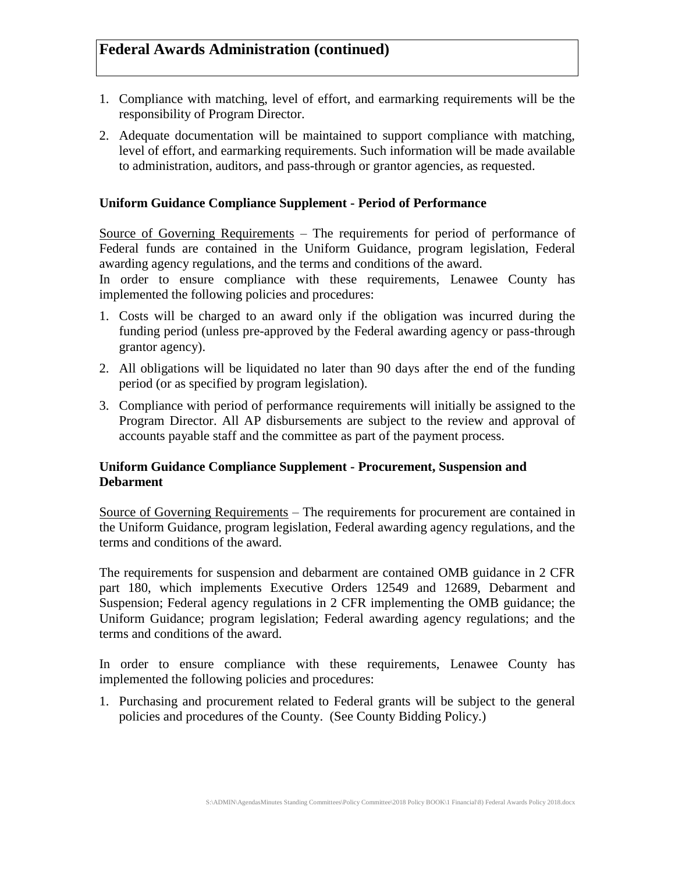- 1. Compliance with matching, level of effort, and earmarking requirements will be the responsibility of Program Director.
- 2. Adequate documentation will be maintained to support compliance with matching, level of effort, and earmarking requirements. Such information will be made available to administration, auditors, and pass-through or grantor agencies, as requested.

### **Uniform Guidance Compliance Supplement - Period of Performance**

Source of Governing Requirements – The requirements for period of performance of Federal funds are contained in the Uniform Guidance, program legislation, Federal awarding agency regulations, and the terms and conditions of the award.

In order to ensure compliance with these requirements, Lenawee County has implemented the following policies and procedures:

- 1. Costs will be charged to an award only if the obligation was incurred during the funding period (unless pre-approved by the Federal awarding agency or pass-through grantor agency).
- 2. All obligations will be liquidated no later than 90 days after the end of the funding period (or as specified by program legislation).
- 3. Compliance with period of performance requirements will initially be assigned to the Program Director. All AP disbursements are subject to the review and approval of accounts payable staff and the committee as part of the payment process.

### **Uniform Guidance Compliance Supplement - Procurement, Suspension and Debarment**

Source of Governing Requirements – The requirements for procurement are contained in the Uniform Guidance, program legislation, Federal awarding agency regulations, and the terms and conditions of the award.

The requirements for suspension and debarment are contained OMB guidance in 2 CFR part 180, which implements Executive Orders 12549 and 12689, Debarment and Suspension; Federal agency regulations in 2 CFR implementing the OMB guidance; the Uniform Guidance; program legislation; Federal awarding agency regulations; and the terms and conditions of the award.

In order to ensure compliance with these requirements, Lenawee County has implemented the following policies and procedures:

1. Purchasing and procurement related to Federal grants will be subject to the general policies and procedures of the County. (See County Bidding Policy.)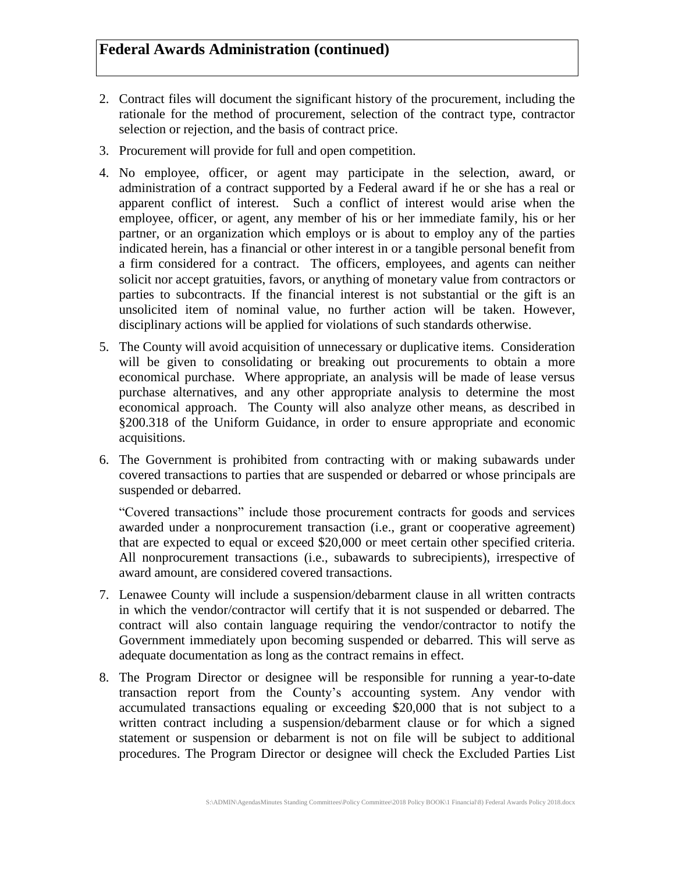- 2. Contract files will document the significant history of the procurement, including the rationale for the method of procurement, selection of the contract type, contractor selection or rejection, and the basis of contract price.
- 3. Procurement will provide for full and open competition.
- 4. No employee, officer, or agent may participate in the selection, award, or administration of a contract supported by a Federal award if he or she has a real or apparent conflict of interest. Such a conflict of interest would arise when the employee, officer, or agent, any member of his or her immediate family, his or her partner, or an organization which employs or is about to employ any of the parties indicated herein, has a financial or other interest in or a tangible personal benefit from a firm considered for a contract. The officers, employees, and agents can neither solicit nor accept gratuities, favors, or anything of monetary value from contractors or parties to subcontracts. If the financial interest is not substantial or the gift is an unsolicited item of nominal value, no further action will be taken. However, disciplinary actions will be applied for violations of such standards otherwise.
- 5. The County will avoid acquisition of unnecessary or duplicative items. Consideration will be given to consolidating or breaking out procurements to obtain a more economical purchase. Where appropriate, an analysis will be made of lease versus purchase alternatives, and any other appropriate analysis to determine the most economical approach. The County will also analyze other means, as described in §200.318 of the Uniform Guidance, in order to ensure appropriate and economic acquisitions.
- 6. The Government is prohibited from contracting with or making subawards under covered transactions to parties that are suspended or debarred or whose principals are suspended or debarred.

"Covered transactions" include those procurement contracts for goods and services awarded under a nonprocurement transaction (i.e., grant or cooperative agreement) that are expected to equal or exceed \$20,000 or meet certain other specified criteria. All nonprocurement transactions (i.e., subawards to subrecipients), irrespective of award amount, are considered covered transactions.

- 7. Lenawee County will include a suspension/debarment clause in all written contracts in which the vendor/contractor will certify that it is not suspended or debarred. The contract will also contain language requiring the vendor/contractor to notify the Government immediately upon becoming suspended or debarred. This will serve as adequate documentation as long as the contract remains in effect.
- 8. The Program Director or designee will be responsible for running a year-to-date transaction report from the County's accounting system. Any vendor with accumulated transactions equaling or exceeding \$20,000 that is not subject to a written contract including a suspension/debarment clause or for which a signed statement or suspension or debarment is not on file will be subject to additional procedures. The Program Director or designee will check the Excluded Parties List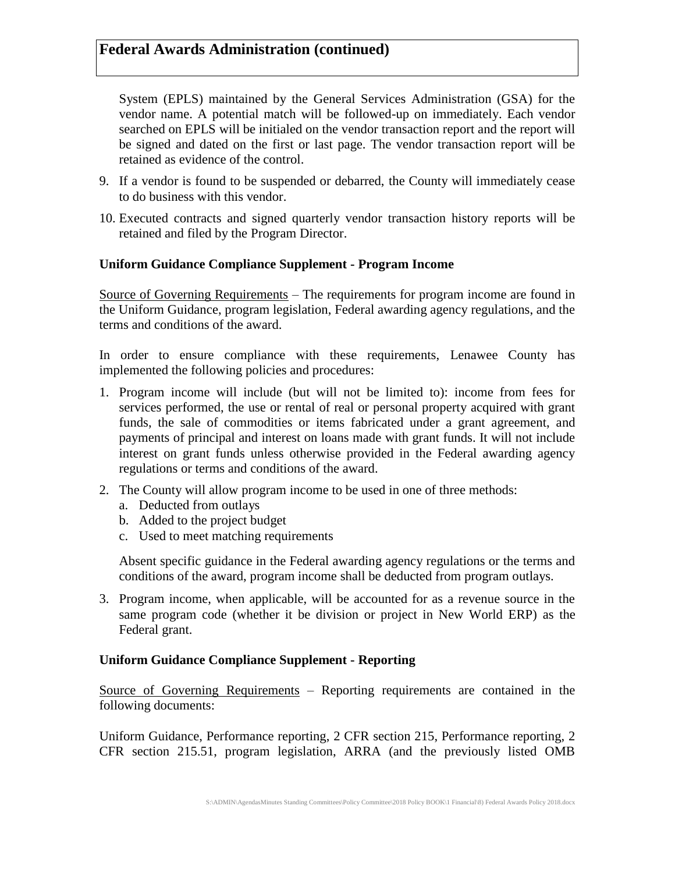System (EPLS) maintained by the General Services Administration (GSA) for the vendor name. A potential match will be followed-up on immediately. Each vendor searched on EPLS will be initialed on the vendor transaction report and the report will be signed and dated on the first or last page. The vendor transaction report will be retained as evidence of the control.

- 9. If a vendor is found to be suspended or debarred, the County will immediately cease to do business with this vendor.
- 10. Executed contracts and signed quarterly vendor transaction history reports will be retained and filed by the Program Director.

#### **Uniform Guidance Compliance Supplement - Program Income**

Source of Governing Requirements – The requirements for program income are found in the Uniform Guidance, program legislation, Federal awarding agency regulations, and the terms and conditions of the award.

In order to ensure compliance with these requirements, Lenawee County has implemented the following policies and procedures:

- 1. Program income will include (but will not be limited to): income from fees for services performed, the use or rental of real or personal property acquired with grant funds, the sale of commodities or items fabricated under a grant agreement, and payments of principal and interest on loans made with grant funds. It will not include interest on grant funds unless otherwise provided in the Federal awarding agency regulations or terms and conditions of the award.
- 2. The County will allow program income to be used in one of three methods:
	- a. Deducted from outlays
	- b. Added to the project budget
	- c. Used to meet matching requirements

Absent specific guidance in the Federal awarding agency regulations or the terms and conditions of the award, program income shall be deducted from program outlays.

3. Program income, when applicable, will be accounted for as a revenue source in the same program code (whether it be division or project in New World ERP) as the Federal grant.

## **Uniform Guidance Compliance Supplement - Reporting**

Source of Governing Requirements – Reporting requirements are contained in the following documents:

Uniform Guidance, Performance reporting, 2 CFR section 215, Performance reporting, 2 CFR section 215.51, program legislation, ARRA (and the previously listed OMB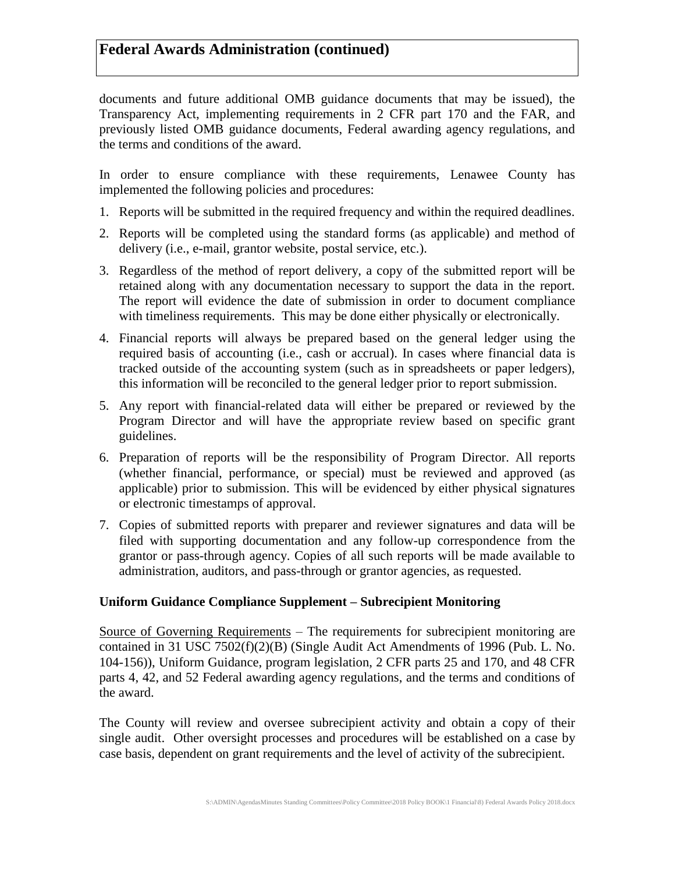documents and future additional OMB guidance documents that may be issued), the Transparency Act, implementing requirements in 2 CFR part 170 and the FAR, and previously listed OMB guidance documents, Federal awarding agency regulations, and the terms and conditions of the award.

In order to ensure compliance with these requirements, Lenawee County has implemented the following policies and procedures:

- 1. Reports will be submitted in the required frequency and within the required deadlines.
- 2. Reports will be completed using the standard forms (as applicable) and method of delivery (i.e., e-mail, grantor website, postal service, etc.).
- 3. Regardless of the method of report delivery, a copy of the submitted report will be retained along with any documentation necessary to support the data in the report. The report will evidence the date of submission in order to document compliance with timeliness requirements. This may be done either physically or electronically.
- 4. Financial reports will always be prepared based on the general ledger using the required basis of accounting (i.e., cash or accrual). In cases where financial data is tracked outside of the accounting system (such as in spreadsheets or paper ledgers), this information will be reconciled to the general ledger prior to report submission.
- 5. Any report with financial-related data will either be prepared or reviewed by the Program Director and will have the appropriate review based on specific grant guidelines.
- 6. Preparation of reports will be the responsibility of Program Director. All reports (whether financial, performance, or special) must be reviewed and approved (as applicable) prior to submission. This will be evidenced by either physical signatures or electronic timestamps of approval.
- 7. Copies of submitted reports with preparer and reviewer signatures and data will be filed with supporting documentation and any follow-up correspondence from the grantor or pass-through agency. Copies of all such reports will be made available to administration, auditors, and pass-through or grantor agencies, as requested.

## **Uniform Guidance Compliance Supplement – Subrecipient Monitoring**

Source of Governing Requirements – The requirements for subrecipient monitoring are contained in 31 USC 7502(f)(2)(B) (Single Audit Act Amendments of 1996 (Pub. L. No. 104-156)), Uniform Guidance, program legislation, 2 CFR parts 25 and 170, and 48 CFR parts 4, 42, and 52 Federal awarding agency regulations, and the terms and conditions of the award.

The County will review and oversee subrecipient activity and obtain a copy of their single audit. Other oversight processes and procedures will be established on a case by case basis, dependent on grant requirements and the level of activity of the subrecipient.